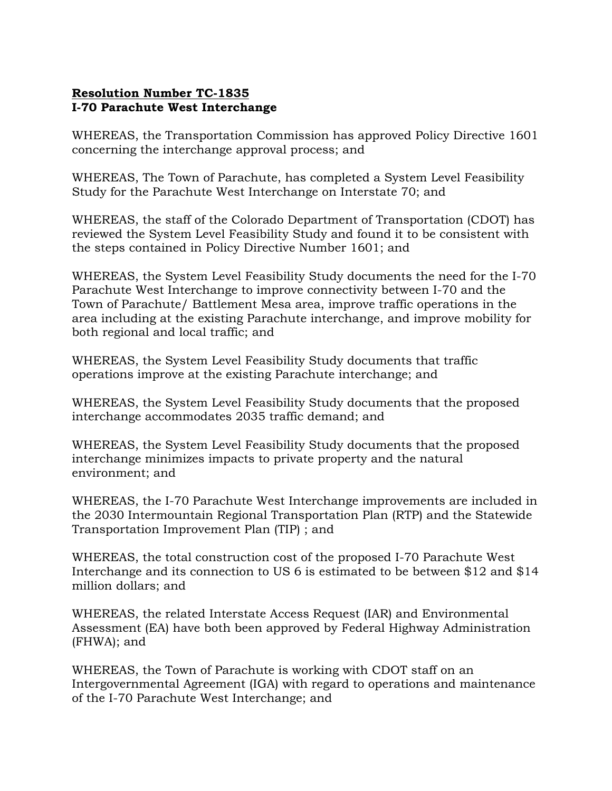## Resolution Number TC-1835 I-70 Parachute West Interchange

WHEREAS, the Transportation Commission has approved Policy Directive 1601 concerning the interchange approval process; and

WHEREAS, The Town of Parachute, has completed a System Level Feasibility Study for the Parachute West Interchange on Interstate 70; and

WHEREAS, the staff of the Colorado Department of Transportation (CDOT) has reviewed the System Level Feasibility Study and found it to be consistent with the steps contained in Policy Directive Number 1601; and

WHEREAS, the System Level Feasibility Study documents the need for the I-70 Parachute West Interchange to improve connectivity between I-70 and the Town of Parachute/ Battlement Mesa area, improve traffic operations in the area including at the existing Parachute interchange, and improve mobility for both regional and local traffic; and

WHEREAS, the System Level Feasibility Study documents that traffic operations improve at the existing Parachute interchange; and

WHEREAS, the System Level Feasibility Study documents that the proposed interchange accommodates 2035 traffic demand; and

WHEREAS, the System Level Feasibility Study documents that the proposed interchange minimizes impacts to private property and the natural environment; and

WHEREAS, the I-70 Parachute West Interchange improvements are included in the 2030 Intermountain Regional Transportation Plan (RTP) and the Statewide Transportation Improvement Plan (TIP) ; and

WHEREAS, the total construction cost of the proposed I-70 Parachute West Interchange and its connection to US 6 is estimated to be between \$12 and \$14 million dollars; and

WHEREAS, the related Interstate Access Request (IAR) and Environmental Assessment (EA) have both been approved by Federal Highway Administration (FHWA); and

WHEREAS, the Town of Parachute is working with CDOT staff on an Intergovernmental Agreement (IGA) with regard to operations and maintenance of the I-70 Parachute West Interchange; and